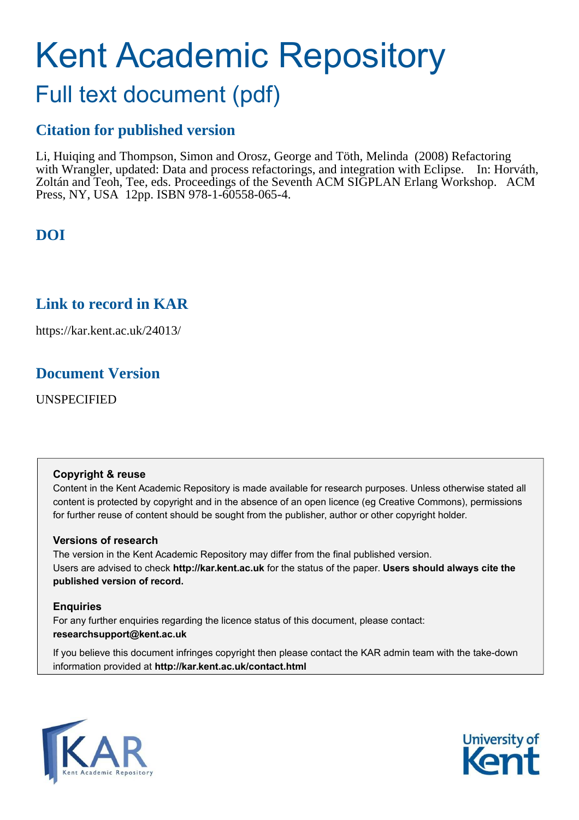# Kent Academic Repository

## Full text document (pdf)

## **Citation for published version**

Li, Huiqing and Thompson, Simon and Orosz, George and Töth, Melinda (2008) Refactoring with Wrangler, updated: Data and process refactorings, and integration with Eclipse. In: Horváth, Zoltán and Teoh, Tee, eds. Proceedings of the Seventh ACM SIGPLAN Erlang Workshop. ACM Press, NY, USA 12pp. ISBN 978-1-60558-065-4.

## **DOI**

## **Link to record in KAR**

https://kar.kent.ac.uk/24013/

### **Document Version**

UNSPECIFIED

#### **Copyright & reuse**

Content in the Kent Academic Repository is made available for research purposes. Unless otherwise stated all content is protected by copyright and in the absence of an open licence (eg Creative Commons), permissions for further reuse of content should be sought from the publisher, author or other copyright holder.

#### **Versions of research**

The version in the Kent Academic Repository may differ from the final published version. Users are advised to check **http://kar.kent.ac.uk** for the status of the paper. **Users should always cite the published version of record.**

#### **Enquiries**

For any further enquiries regarding the licence status of this document, please contact: **researchsupport@kent.ac.uk**

If you believe this document infringes copyright then please contact the KAR admin team with the take-down information provided at **http://kar.kent.ac.uk/contact.html**



<span id="page-0-0"></span>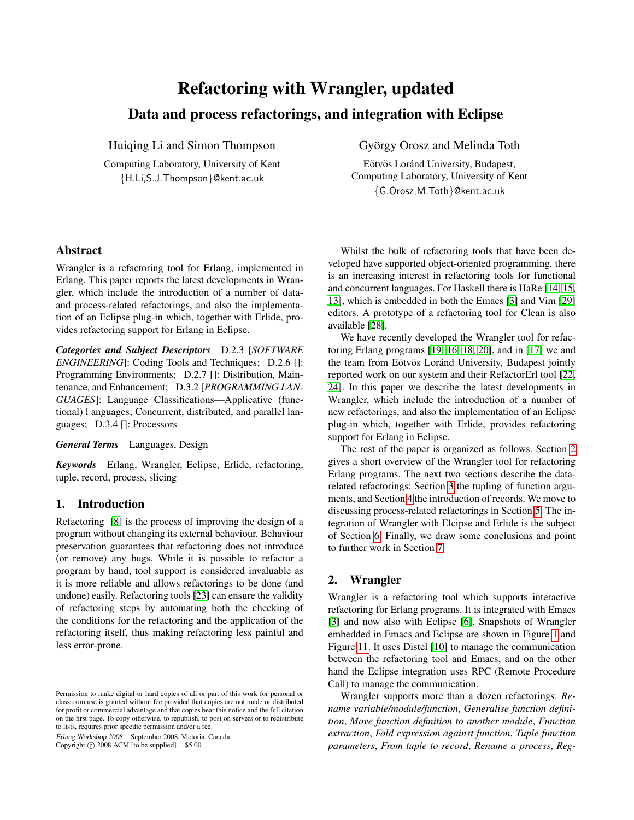## Refactoring with Wrangler, updated Data and process refactorings, and integration with Eclipse

Huiqing Li and Simon Thompson

Computing Laboratory, University of Kent {H.Li,S.J.Thompson}@kent.ac.uk

Abstract

Wrangler is a refactoring tool for Erlang, implemented in Erlang. This paper reports the latest developments in Wrangler, which include the introduction of a number of dataand process-related refactorings, and also the implementation of an Eclipse plug-in which, together with Erlide, provides refactoring support for Erlang in Eclipse.

*Categories and Subject Descriptors* D.2.3 [*SOFTWARE ENGINEERING*]: Coding Tools and Techniques; D.2.6 []: Programming Environments; D.2.7 []: Distribution, Maintenance, and Enhancement; D.3.2 [*PROGRAMMING LAN-GUAGES*]: Language Classifications—Applicative (functional) l anguages; Concurrent, distributed, and parallel languages; D.3.4 []: Processors

*General Terms* Languages, Design

*Keywords* Erlang, Wrangler, Eclipse, Erlide, refactoring, tuple, record, process, slicing

#### 1. Introduction

<span id="page-1-1"></span>Refactoring [\[8\]](#page-11-0) is the process of improving the design of a program without changing its external behaviour. Behaviour preservation guarantees that refactoring does not introduce (or remove) any bugs. While it is possible to refactor a program by hand, tool support is considered invaluable as it is more reliable and allows refactorings to be done (and undone) easily. Refactoring tools [\[23\]](#page-11-1) can ensure the validity of refactoring steps by automating both the checking of the conditions for the refactoring and the application of the refactoring itself, thus making refactoring less painful and less error-prone.

Erlang Workshop 2008 September 2008, Victoria, Canada. Copyright  $\odot$  2008 ACM [to be supplied]...\$5.00

György Orosz and Melinda Toth

Eötvös Loránd University, Budapest, Computing Laboratory, University of Kent {G.Orosz,M.Toth}@kent.ac.uk

Whilst the bulk of refactoring tools that have been developed have supported object-oriented programming, there is an increasing interest in refactoring tools for functional and concurrent languages. For Haskell there is HaRe [\[14,](#page-11-2) [15,](#page-11-3) [13\]](#page-11-4), which is embedded in both the Emacs [\[3\]](#page-11-5) and Vim [\[29\]](#page-11-6) editors. A prototype of a refactoring tool for Clean is also available [\[28\]](#page-11-7).

We have recently developed the Wrangler tool for refactoring Erlang programs [\[19,](#page-11-8) [16,](#page-11-9) [18,](#page-11-10) [20\]](#page-11-11), and in [\[17\]](#page-11-12) we and the team from Eötvös Loránd University, Budapest jointly reported work on our system and their RefactorErl tool [\[22,](#page-11-13) [24\]](#page-11-14). In this paper we describe the latest developments in Wrangler, which include the introduction of a number of new refactorings, and also the implementation of an Eclipse plug-in which, together with Erlide, provides refactoring support for Erlang in Eclipse.

<span id="page-1-0"></span>The rest of the paper is organized as follows. Section [2](#page-0-0) gives a short overview of the Wrangler tool for refactoring Erlang programs. The next two sections describe the datarelated refactorings: Section [3](#page-2-0) the tupling of function arguments, and Section [4](#page-2-1) the introduction of records. We move to discussing process-related refactorings in Section [5.](#page-4-0) The integration of Wrangler with Elcipse and Erlide is the subject of Section [6.](#page-8-0) Finally, we draw some conclusions and point to further work in Section [7.](#page-10-0)

#### 2. Wrangler

Wrangler is a refactoring tool which supports interactive refactoring for Erlang programs. It is integrated with Emacs [\[3\]](#page-11-5) and now also with Eclipse [\[6\]](#page-11-15). Snapshots of Wrangler embedded in Emacs and Eclipse are shown in Figure [1](#page-1-0) and Figure [11.](#page-9-0) It uses Distel [\[10\]](#page-11-16) to manage the communication between the refactoring tool and Emacs, and on the other hand the Eclipse integration uses RPC (Remote Procedure Call) to manage the communication.

Wrangler supports more than a dozen refactorings: *Rename variable/module/function*, *Generalise function definition*, *Move function definition to another module*, *Function extraction*, *Fold expression against function*, *Tuple function parameters*, *From tuple to record*, *Rename a process*, *Reg-*

Permission to make digital or hard copies of all or part of this work for personal or classroom use is granted without fee provided that copies are not made or distributed for profit or commercial advantage and that copies bear this notice and the full citation on the first page. To copy otherwise, to republish, to post on servers or to redistribute to lists, requires prior specific permission and/or a fee.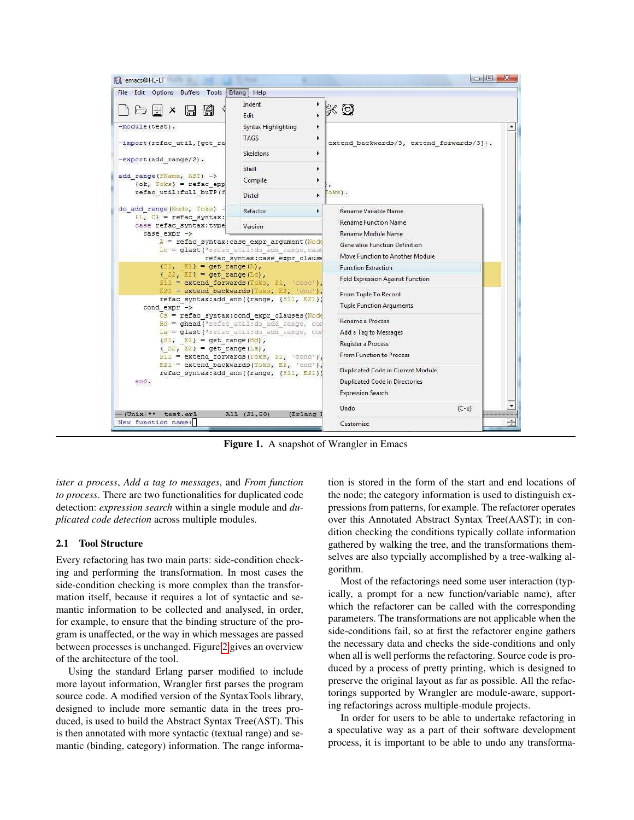<span id="page-2-2"></span>

Figure 1. A snapshot of Wrangler in Emacs

<span id="page-2-0"></span>*ister a process*, *Add a tag to messages*, and *From function to process*. There are two functionalities for duplicated code detection: *expression search* within a single module and *duplicated code detection* across multiple modules.

#### 2.1 Tool Structure

Every refactoring has two main parts: side-condition checking and performing the transformation. In most cases the side-condition checking is more complex than the transformation itself, because it requires a lot of syntactic and semantic information to be collected and analysed, in order, for example, to ensure that the binding structure of the program is unaffected, or the way in which messages are passed between processes is unchanged. Figure [2](#page-2-2) gives an overview of the architecture of the tool.

Using the standard Erlang parser modified to include more layout information, Wrangler first parses the program source code. A modified version of the SyntaxTools library, designed to include more semantic data in the trees produced, is used to build the Abstract Syntax Tree(AST). This is then annotated with more syntactic (textual range) and semantic (binding, category) information. The range informa-

<span id="page-2-3"></span>tion is stored in the form of the start and end locations of the node; the category information is used to distinguish expressions from patterns, for example. The refactorer operates over this Annotated Abstract Syntax Tree(AAST); in condition checking the conditions typically collate information gathered by walking the tree, and the transformations themselves are also typcially accomplished by a tree-walking algorithm.

<span id="page-2-1"></span>Most of the refactorings need some user interaction (typically, a prompt for a new function/variable name), after which the refactorer can be called with the corresponding parameters. The transformations are not applicable when the side-conditions fail, so at first the refactorer engine gathers the necessary data and checks the side-conditions and only when all is well performs the refactoring. Source code is produced by a process of pretty printing, which is designed to preserve the original layout as far as possible. All the refactorings supported by Wrangler are module-aware, supporting refactorings across multiple-module projects.

In order for users to be able to undertake refactoring in a speculative way as a part of their software development process, it is important to be able to undo any transforma-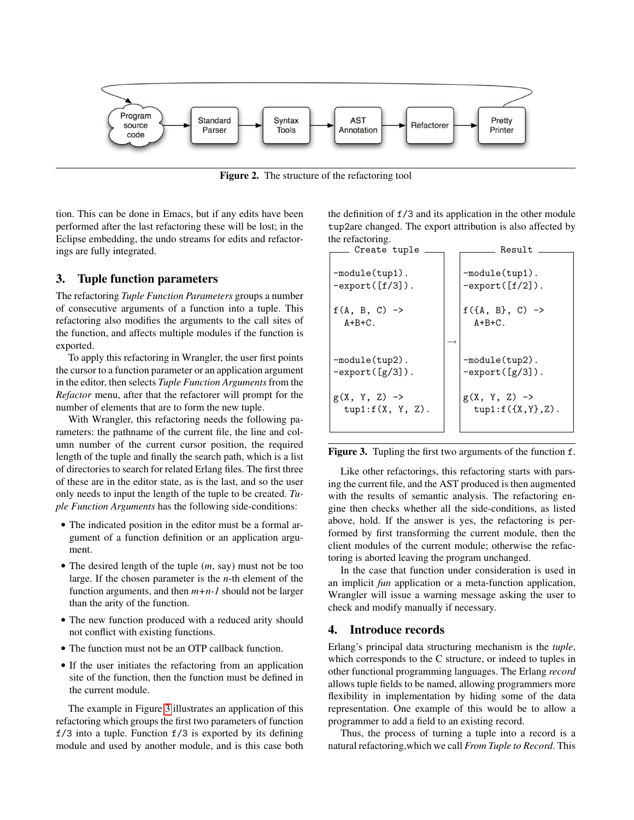

Figure 2. The structure of the refactoring tool

tion. This can be done in Emacs, but if any edits have been performed after the last refactoring these will be lost; in the Eclipse embedding, the undo streams for edits and refactorings are fully integrated.

#### 3. Tuple function parameters

The refactoring *Tuple Function Parameters* groups a number of consecutive arguments of a function into a tuple. This refactoring also modifies the arguments to the call sites of the function, and affects multiple modules if the function is exported.

To apply this refactoring in Wrangler, the user first points the cursor to a function parameter or an application argument in the editor, then selects *Tuple Function Arguments* from the *Refactor* menu, after that the refactorer will prompt for the number of elements that are to form the new tuple.

With Wrangler, this refactoring needs the following parameters: the pathname of the current file, the line and column number of the current cursor position, the required length of the tuple and finally the search path, which is a list of directories to search for related Erlang files. The first three of these are in the editor state, as is the last, and so the user only needs to input the length of the tuple to be created. *Tuple Function Arguments* has the following side-conditions:

- The indicated position in the editor must be a formal argument of a function definition or an application argument.
- The desired length of the tuple (*m*, say) must not be too large. If the chosen parameter is the *n*-th element of the function arguments, and then *m+n-1* should not be larger than the arity of the function.
- The new function produced with a reduced arity should not conflict with existing functions.
- The function must not be an OTP callback function.
- If the user initiates the refactoring from an application site of the function, then the function must be defined in the current module.

The example in Figure [3](#page-2-3) illustrates an application of this refactoring which groups the first two parameters of function  $f/3$  into a tuple. Function  $f/3$  is exported by its defining module and used by another module, and is this case both the definition of f/3 and its application in the other module tup2are changed. The export attribution is also affected by the refactoring.

<span id="page-3-0"></span>

| Create tuple |                                                        |  | Result                                                 |  |
|--------------|--------------------------------------------------------|--|--------------------------------------------------------|--|
|              | $\lnot$ module $(\text{tup1})$ .<br>$-export([f/3]).$  |  | $\lnot$ module $(\text{tup1})$ .<br>$-export([f/2])$ . |  |
|              | $f(A, B, C) \rightarrow$<br>$A+B+C$ .                  |  | $f(\{A, B\}, C) \rightarrow$<br>$A + B + C$ .          |  |
|              |                                                        |  |                                                        |  |
|              | $\lnot$ module $(\text{tup2})$ .<br>$-export([g/3])$ . |  | $\lnot$ module $(\text{tup2})$ .<br>$-export([g/3])$ . |  |
|              | $g(X, Y, Z) \rightarrow$<br>$tup1:f(X, Y, Z)$ .        |  | $g(X, Y, Z) \rightarrow$<br>$tup1:f({X,Y},Z).$         |  |
|              |                                                        |  |                                                        |  |

Figure 3. Tupling the first two arguments of the function f.

Like other refactorings, this refactoring starts with parsing the current file, and the AST produced is then augmented with the results of semantic analysis. The refactoring engine then checks whether all the side-conditions, as listed above, hold. If the answer is yes, the refactoring is performed by first transforming the current module, then the client modules of the current module; otherwise the refactoring is aborted leaving the program unchanged.

<span id="page-3-1"></span>In the case that function under consideration is used in an implicit *fun* application or a meta-function application, Wrangler will issue a warning message asking the user to check and modify manually if necessary.

#### 4. Introduce records

Erlang's principal data structuring mechanism is the *tuple*, which corresponds to the C structure, or indeed to tuples in other functional programming languages. The Erlang *record* allows tuple fields to be named, allowing programmers more flexibility in implementation by hiding some of the data representation. One example of this would be to allow a programmer to add a field to an existing record.

Thus, the process of turning a tuple into a record is a natural refactoring,which we call *From Tuple to Record*. This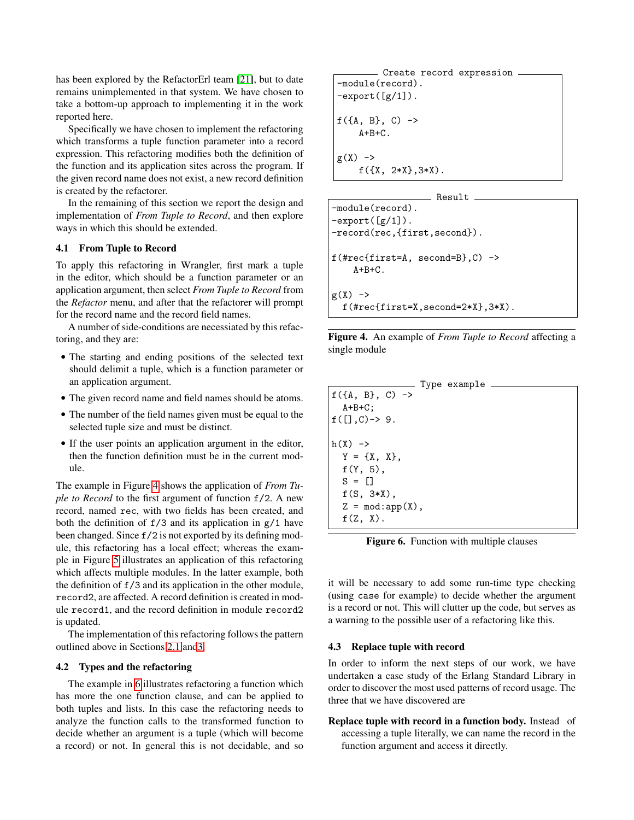has been explored by the RefactorErl team [\[21\]](#page-11-17), but to date remains unimplemented in that system. We have chosen to take a bottom-up approach to implementing it in the work reported here.

Specifically we have chosen to implement the refactoring which transforms a tuple function parameter into a record expression. This refactoring modifies both the definition of the function and its application sites across the program. If the given record name does not exist, a new record definition is created by the refactorer.

In the remaining of this section we report the design and implementation of *From Tuple to Record*, and then explore ways in which this should be extended.

#### 4.1 From Tuple to Record

To apply this refactoring in Wrangler, first mark a tuple in the editor, which should be a function parameter or an application argument, then select *From Tuple to Record* from the *Refactor* menu, and after that the refactorer will prompt for the record name and the record field names.

<span id="page-4-1"></span>A number of side-conditions are necessiated by this refactoring, and they are:

- The starting and ending positions of the selected text should delimit a tuple, which is a function parameter or an application argument.
- The given record name and field names should be atoms.
- The number of the field names given must be equal to the selected tuple size and must be distinct.
- If the user points an application argument in the editor, then the function definition must be in the current module.

<span id="page-4-0"></span>The example in Figure [4](#page-3-0) shows the application of *From Tuple to Record* to the first argument of function  $f/2$ . A new record, named rec, with two fields has been created, and both the definition of  $f/3$  and its application in  $g/1$  have been changed. Since f/2 is not exported by its defining module, this refactoring has a local effect; whereas the example in Figure [5](#page-4-1) illustrates an application of this refactoring which affects multiple modules. In the latter example, both the definition of f/3 and its application in the other module, record2, are affected. A record definition is created in module record1, and the record definition in module record2 is updated.

The implementation of this refactoring follows the pattern outlined above in Sections [2.1](#page-1-1) an[d3.](#page-2-0)

#### 4.2 Types and the refactoring

The example in [6](#page-3-1) illustrates refactoring a function which has more the one function clause, and can be applied to both tuples and lists. In this case the refactoring needs to analyze the function calls to the transformed function to decide whether an argument is a tuple (which will become a record) or not. In general this is not decidable, and so

Create record expression -module(record). -export([g/1]).  $f(\{A, B\}, C) \rightarrow$  $A+B+C$ .  $g(X)$  ->  $f({X, 2*X}, 3*X).$ 

```
- Result -
-module(record).
-export([g/1]).
-record(rec,{first,second}).
f(#rec{first=A, second=B},C) ->
    A + B + C.
g(X) ->
  f(#rec{first=X,second=2*X},3*X).
```
Figure 4. An example of *From Tuple to Record* affecting a single module

|                                           | Type example |  |
|-------------------------------------------|--------------|--|
| $f(\{A, B\}, C) \rightarrow$<br>$A+B+C$ : |              |  |
| $f([],C) \rightarrow 9.$                  |              |  |
| $h(X) \rightarrow$                        |              |  |
| $Y = \{X, X\},$                           |              |  |
| $f(Y, 5)$ ,                               |              |  |
| $S = \Box$                                |              |  |
| $f(S, 3*X),$                              |              |  |
| $Z = mod:app(X)$ ,                        |              |  |
| $f(Z, X)$ .                               |              |  |

Figure 6. Function with multiple clauses

it will be necessary to add some run-time type checking (using case for example) to decide whether the argument is a record or not. This will clutter up the code, but serves as a warning to the possible user of a refactoring like this.

#### 4.3 Replace tuple with record

In order to inform the next steps of our work, we have undertaken a case study of the Erlang Standard Library in order to discover the most used patterns of record usage. The three that we have discovered are

Replace tuple with record in a function body. Instead of accessing a tuple literally, we can name the record in the function argument and access it directly.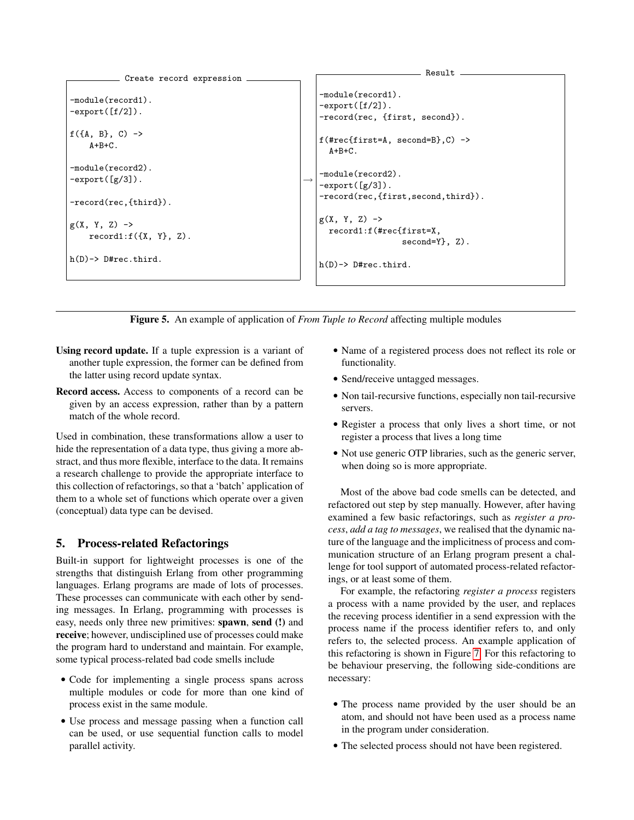

<span id="page-5-0"></span>Figure 5. An example of application of *From Tuple to Record* affecting multiple modules

- Using record update. If a tuple expression is a variant of another tuple expression, the former can be defined from the latter using record update syntax.
- Record access. Access to components of a record can be given by an access expression, rather than by a pattern match of the whole record.

<span id="page-5-1"></span>Used in combination, these transformations allow a user to hide the representation of a data type, thus giving a more abstract, and thus more flexible, interface to the data. It remains a research challenge to provide the appropriate interface to this collection of refactorings, so that a 'batch' application of them to a whole set of functions which operate over a given (conceptual) data type can be devised.

#### 5. Process-related Refactorings

Built-in support for lightweight processes is one of the strengths that distinguish Erlang from other programming languages. Erlang programs are made of lots of processes. These processes can communicate with each other by sending messages. In Erlang, programming with processes is easy, needs only three new primitives: spawn, send (!) and receive; however, undisciplined use of processes could make the program hard to understand and maintain. For example, some typical process-related bad code smells include

- Code for implementing a single process spans across multiple modules or code for more than one kind of process exist in the same module.
- Use process and message passing when a function call can be used, or use sequential function calls to model parallel activity.
- Name of a registered process does not reflect its role or functionality.
- Send/receive untagged messages.
- Non tail-recursive functions, especially non tail-recursive servers.
- Register a process that only lives a short time, or not register a process that lives a long time
- Not use generic OTP libraries, such as the generic server, when doing so is more appropriate.

Most of the above bad code smells can be detected, and refactored out step by step manually. However, after having examined a few basic refactorings, such as *register a process*, *add a tag to messages*, we realised that the dynamic nature of the language and the implicitness of process and communication structure of an Erlang program present a challenge for tool support of automated process-related refactorings, or at least some of them.

For example, the refactoring *register a process* registers a process with a name provided by the user, and replaces the receving process identifier in a send expression with the process name if the process identifier refers to, and only refers to, the selected process. An example application of this refactoring is shown in Figure [7.](#page-5-0) For this refactoring to be behaviour preserving, the following side-conditions are necessary:

- The process name provided by the user should be an atom, and should not have been used as a process name in the program under consideration.
- The selected process should not have been registered.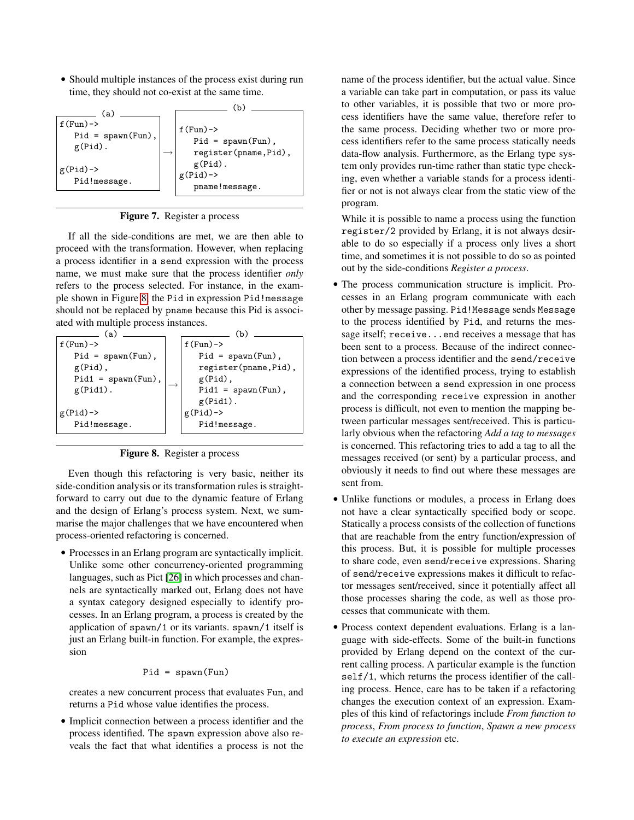• Should multiple instances of the process exist during run time, they should not co-exist at the same time.



Figure 7. Register a process

If all the side-conditions are met, we are then able to proceed with the transformation. However, when replacing a process identifier in a send expression with the process name, we must make sure that the process identifier *only* refers to the process selected. For instance, in the example shown in Figure [8,](#page-5-1) the Pid in expression Pid!message should not be replaced by pname because this Pid is associated with multiple process instances.



Figure 8. Register a process

Even though this refactoring is very basic, neither its side-condition analysis or its transformation rules is straightforward to carry out due to the dynamic feature of Erlang and the design of Erlang's process system. Next, we summarise the major challenges that we have encountered when process-oriented refactoring is concerned.

• Processes in an Erlang program are syntactically implicit. Unlike some other concurrency-oriented programming languages, such as Pict [\[26\]](#page-11-18) in which processes and channels are syntactically marked out, Erlang does not have a syntax category designed especially to identify processes. In an Erlang program, a process is created by the application of spawn/1 or its variants. spawn/1 itself is just an Erlang built-in function. For example, the expression

#### Pid = spawn(Fun)

creates a new concurrent process that evaluates Fun, and returns a Pid whose value identifies the process.

• Implicit connection between a process identifier and the process identified. The spawn expression above also reveals the fact that what identifies a process is not the

name of the process identifier, but the actual value. Since a variable can take part in computation, or pass its value to other variables, it is possible that two or more process identifiers have the same value, therefore refer to the same process. Deciding whether two or more process identifiers refer to the same process statically needs data-flow analysis. Furthermore, as the Erlang type system only provides run-time rather than static type checking, even whether a variable stands for a process identifier or not is not always clear from the static view of the program.

While it is possible to name a process using the function register/2 provided by Erlang, it is not always desirable to do so especially if a process only lives a short time, and sometimes it is not possible to do so as pointed out by the side-conditions *Register a process*.

- The process communication structure is implicit. Processes in an Erlang program communicate with each other by message passing. Pid!Message sends Message to the process identified by Pid, and returns the message itself; receive...end receives a message that has been sent to a process. Because of the indirect connection between a process identifier and the send/receive expressions of the identified process, trying to establish a connection between a send expression in one process and the corresponding receive expression in another process is difficult, not even to mention the mapping between particular messages sent/received. This is particularly obvious when the refactoring *Add a tag to messages* is concerned. This refactoring tries to add a tag to all the messages received (or sent) by a particular process, and obviously it needs to find out where these messages are sent from.
- Unlike functions or modules, a process in Erlang does not have a clear syntactically specified body or scope. Statically a process consists of the collection of functions that are reachable from the entry function/expression of this process. But, it is possible for multiple processes to share code, even send/receive expressions. Sharing of send/receive expressions makes it difficult to refactor messages sent/received, since it potentially affect all those processes sharing the code, as well as those processes that communicate with them.
- Process context dependent evaluations. Erlang is a language with side-effects. Some of the built-in functions provided by Erlang depend on the context of the current calling process. A particular example is the function self/1, which returns the process identifier of the calling process. Hence, care has to be taken if a refactoring changes the execution context of an expression. Examples of this kind of refactorings include *From function to process*, *From process to function*, *Spawn a new process to execute an expression* etc.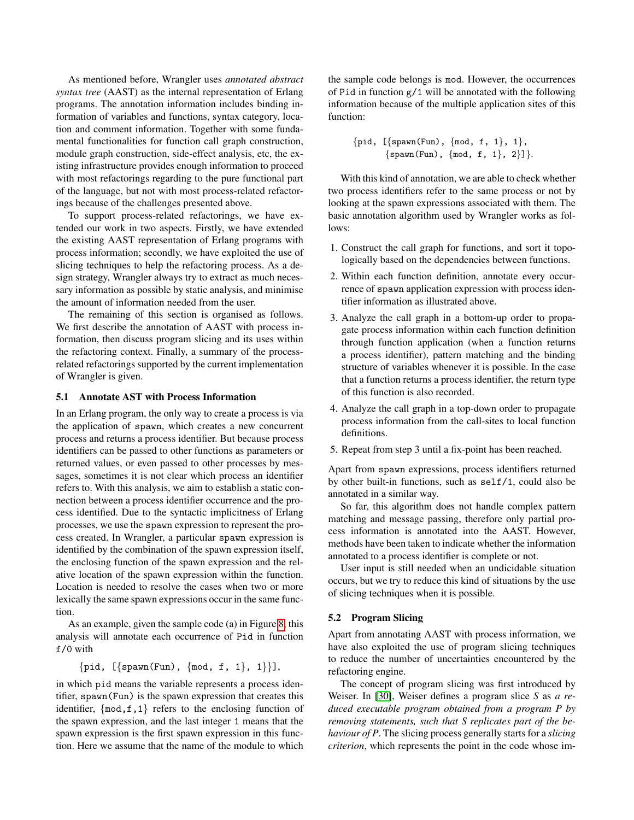As mentioned before, Wrangler uses *annotated abstract syntax tree* (AAST) as the internal representation of Erlang programs. The annotation information includes binding information of variables and functions, syntax category, location and comment information. Together with some fundamental functionalities for function call graph construction, module graph construction, side-effect analysis, etc, the existing infrastructure provides enough information to proceed with most refactorings regarding to the pure functional part of the language, but not with most process-related refactorings because of the challenges presented above.

To support process-related refactorings, we have extended our work in two aspects. Firstly, we have extended the existing AAST representation of Erlang programs with process information; secondly, we have exploited the use of slicing techniques to help the refactoring process. As a design strategy, Wrangler always try to extract as much necessary information as possible by static analysis, and minimise the amount of information needed from the user.

The remaining of this section is organised as follows. We first describe the annotation of AAST with process information, then discuss program slicing and its uses within the refactoring context. Finally, a summary of the processrelated refactorings supported by the current implementation of Wrangler is given.

#### 5.1 Annotate AST with Process Information

In an Erlang program, the only way to create a process is via the application of spawn, which creates a new concurrent process and returns a process identifier. But because process identifiers can be passed to other functions as parameters or returned values, or even passed to other processes by messages, sometimes it is not clear which process an identifier refers to. With this analysis, we aim to establish a static connection between a process identifier occurrence and the process identified. Due to the syntactic implicitness of Erlang processes, we use the spawn expression to represent the process created. In Wrangler, a particular spawn expression is identified by the combination of the spawn expression itself, the enclosing function of the spawn expression and the relative location of the spawn expression within the function. Location is needed to resolve the cases when two or more lexically the same spawn expressions occur in the same function.

As an example, given the sample code (a) in Figure [8,](#page-5-1) this analysis will annotate each occurrence of Pid in function f/0 with

<span id="page-7-0"></span>
$$
\{\text{pid}, \ [\{\text{spam(Fun)}, \ \{\text{mod}, \ f, 1\}, 1\}]\},
$$

in which pid means the variable represents a process identifier, spawn(Fun) is the spawn expression that creates this identifier,  ${mod, f, 1}$  refers to the enclosing function of the spawn expression, and the last integer 1 means that the spawn expression is the first spawn expression in this function. Here we assume that the name of the module to which

the sample code belongs is mod. However, the occurrences of Pid in function  $g/1$  will be annotated with the following information because of the multiple application sites of this function:

```
{pid, [{spawn(Fun), {mod, f, 1}, 1},
      {span(Fun), \{mod, f, 1\}, 2}}.
```
With this kind of annotation, we are able to check whether two process identifiers refer to the same process or not by looking at the spawn expressions associated with them. The basic annotation algorithm used by Wrangler works as follows:

- 1. Construct the call graph for functions, and sort it topologically based on the dependencies between functions.
- 2. Within each function definition, annotate every occurrence of spawn application expression with process identifier information as illustrated above.
- 3. Analyze the call graph in a bottom-up order to propagate process information within each function definition through function application (when a function returns a process identifier), pattern matching and the binding structure of variables whenever it is possible. In the case that a function returns a process identifier, the return type of this function is also recorded.
- 4. Analyze the call graph in a top-down order to propagate process information from the call-sites to local function definitions.
- 5. Repeat from step 3 until a fix-point has been reached.

Apart from spawn expressions, process identifiers returned by other built-in functions, such as self/1, could also be annotated in a similar way.

So far, this algorithm does not handle complex pattern matching and message passing, therefore only partial process information is annotated into the AAST. However, methods have been taken to indicate whether the information annotated to a process identifier is complete or not.

User input is still needed when an undicidable situation occurs, but we try to reduce this kind of situations by the use of slicing techniques when it is possible.

#### 5.2 Program Slicing

Apart from annotating AAST with process information, we have also exploited the use of program slicing techniques to reduce the number of uncertainties encountered by the refactoring engine.

The concept of program slicing was first introduced by Weiser. In [\[30\]](#page-11-19), Weiser defines a program slice *S* as *a reduced executable program obtained from a program P by removing statements, such that S replicates part of the behaviour of P*. The slicing process generally starts for a *slicing criterion*, which represents the point in the code whose im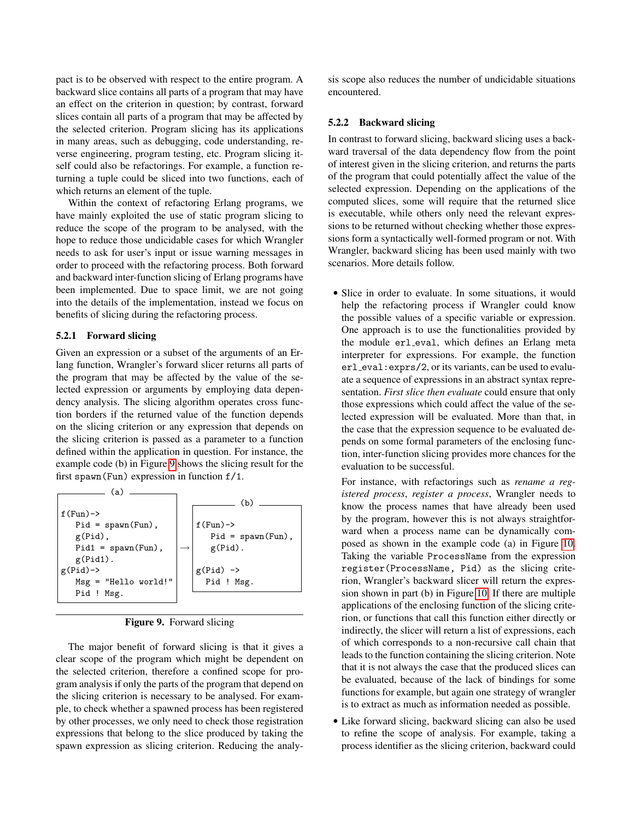pact is to be observed with respect to the entire program. A backward slice contains all parts of a program that may have an effect on the criterion in question; by contrast, forward slices contain all parts of a program that may be affected by the selected criterion. Program slicing has its applications in many areas, such as debugging, code understanding, reverse engineering, program testing, etc. Program slicing itself could also be refactorings. For example, a function returning a tuple could be sliced into two functions, each of which returns an element of the tuple.

<span id="page-8-1"></span>Within the context of refactoring Erlang programs, we have mainly exploited the use of static program slicing to reduce the scope of the program to be analysed, with the hope to reduce those undicidable cases for which Wrangler needs to ask for user's input or issue warning messages in order to proceed with the refactoring process. Both forward and backward inter-function slicing of Erlang programs have been implemented. Due to space limit, we are not going into the details of the implementation, instead we focus on benefits of slicing during the refactoring process.

#### 5.2.1 Forward slicing

Given an expression or a subset of the arguments of an Erlang function, Wrangler's forward slicer returns all parts of the program that may be affected by the value of the selected expression or arguments by employing data dependency analysis. The slicing algorithm operates cross function borders if the returned value of the function depends on the slicing criterion or any expression that depends on the slicing criterion is passed as a parameter to a function defined within the application in question. For instance, the example code (b) in Figure [9](#page-7-0) shows the slicing result for the first spawn(Fun) expression in function f/1.

| (a)                  |                      |
|----------------------|----------------------|
|                      | (b)                  |
| $f(Fun)$ ->          |                      |
| $Pid = spam(Fun)$ ,  | $f$ (Fun) ->         |
| $g(Pid)$ ,           | $Pid = spam(Fun)$ ,  |
| $Pid1 = spam(Fun)$ , | $g(Pid)$ .           |
| $g(Pid1)$ .          |                      |
| $g(Pid)$ ->          | $g(Pid) \rightarrow$ |
| Msg = "Hello world!" | Pid ! Msg.           |
| Pid ! Msg.           |                      |
|                      |                      |

|  | Figure 9. Forward slicing |  |
|--|---------------------------|--|
|--|---------------------------|--|

The major benefit of forward slicing is that it gives a clear scope of the program which might be dependent on the selected criterion, therefore a confined scope for program analysis if only the parts of the program that depend on the slicing criterion is necessary to be analysed. For example, to check whether a spawned process has been registered by other processes, we only need to check those registration expressions that belong to the slice produced by taking the spawn expression as slicing criterion. Reducing the analy-

sis scope also reduces the number of undicidable situations encountered.

#### 5.2.2 Backward slicing

<span id="page-8-0"></span>In contrast to forward slicing, backward slicing uses a backward traversal of the data dependency flow from the point of interest given in the slicing criterion, and returns the parts of the program that could potentially affect the value of the selected expression. Depending on the applications of the computed slices, some will require that the returned slice is executable, while others only need the relevant expressions to be returned without checking whether those expressions form a syntactically well-formed program or not. With Wrangler, backward slicing has been used mainly with two scenarios. More details follow.

• Slice in order to evaluate. In some situations, it would help the refactoring process if Wrangler could know the possible values of a specific variable or expression. One approach is to use the functionalities provided by the module erl eval, which defines an Erlang meta interpreter for expressions. For example, the function erl\_eval: exprs/2, or its variants, can be used to evaluate a sequence of expressions in an abstract syntax representation. *First slice then evaluate* could ensure that only those expressions which could affect the value of the selected expression will be evaluated. More than that, in the case that the expression sequence to be evaluated depends on some formal parameters of the enclosing function, inter-function slicing provides more chances for the evaluation to be successful.

For instance, with refactorings such as *rename a registered process*, *register a process*, Wrangler needs to know the process names that have already been used by the program, however this is not always straightforward when a process name can be dynamically composed as shown in the example code (a) in Figure [10.](#page-8-1) Taking the variable ProcessName from the expression register(ProcessName, Pid) as the slicing criterion, Wrangler's backward slicer will return the expression shown in part (b) in Figure [10.](#page-8-1) If there are multiple applications of the enclosing function of the slicing criterion, or functions that call this function either directly or indirectly, the slicer will return a list of expressions, each of which corresponds to a non-recursive call chain that leads to the function containing the slicing criterion. Note that it is not always the case that the produced slices can be evaluated, because of the lack of bindings for some functions for example, but again one strategy of wrangler is to extract as much as information needed as possible.

• Like forward slicing, backward slicing can also be used to refine the scope of analysis. For example, taking a process identifier as the slicing criterion, backward could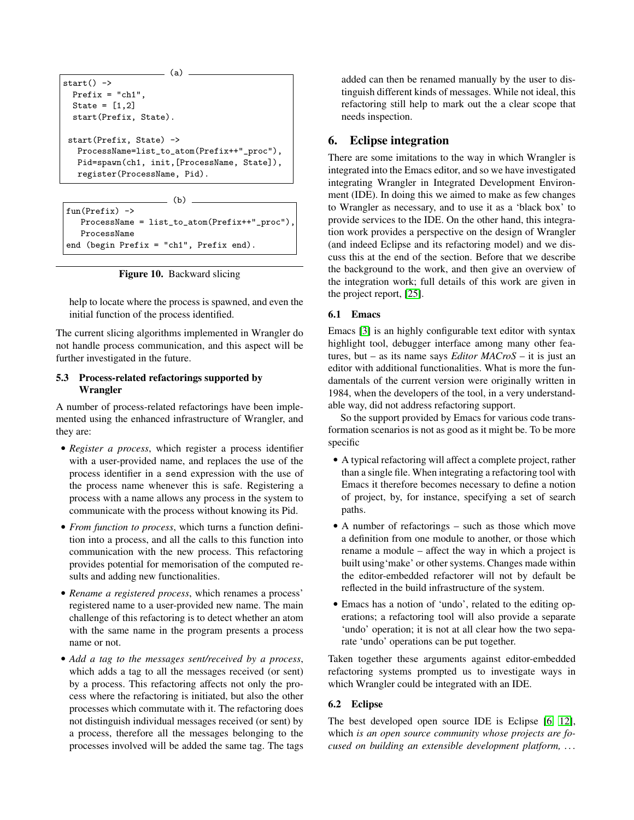```
(a)
start() \rightarrowPrefix = "ch1",State = [1,2]start(Prefix, State).
 start(Prefix, State) ->
  ProcessName=list_to_atom(Prefix++"_proc"),
  Pid=spawn(ch1, init,[ProcessName, State]),
  register(ProcessName, Pid).
```
 $($ b)  $$  $fun(Prefix)$  -> ProcessName = list\_to\_atom(Prefix++"\_proc"), ProcessName end (begin Prefix = "ch1", Prefix end).

Figure 10. Backward slicing

help to locate where the process is spawned, and even the initial function of the process identified.

The current slicing algorithms implemented in Wrangler do not handle process communication, and this aspect will be further investigated in the future.

#### 5.3 Process-related refactorings supported by Wrangler

A number of process-related refactorings have been implemented using the enhanced infrastructure of Wrangler, and they are:

- *Register a process*, which register a process identifier with a user-provided name, and replaces the use of the process identifier in a send expression with the use of the process name whenever this is safe. Registering a process with a name allows any process in the system to communicate with the process without knowing its Pid.
- *From function to process*, which turns a function definition into a process, and all the calls to this function into communication with the new process. This refactoring provides potential for memorisation of the computed results and adding new functionalities.
- *Rename a registered process*, which renames a process' registered name to a user-provided new name. The main challenge of this refactoring is to detect whether an atom with the same name in the program presents a process name or not.
- *Add a tag to the messages sent/received by a process*, which adds a tag to all the messages received (or sent) by a process. This refactoring affects not only the process where the refactoring is initiated, but also the other processes which commutate with it. The refactoring does not distinguish individual messages received (or sent) by a process, therefore all the messages belonging to the processes involved will be added the same tag. The tags

added can then be renamed manually by the user to distinguish different kinds of messages. While not ideal, this refactoring still help to mark out the a clear scope that needs inspection.

#### 6. Eclipse integration

There are some imitations to the way in which Wrangler is integrated into the Emacs editor, and so we have investigated integrating Wrangler in Integrated Development Environment (IDE). In doing this we aimed to make as few changes to Wrangler as necessary, and to use it as a 'black box' to provide services to the IDE. On the other hand, this integration work provides a perspective on the design of Wrangler (and indeed Eclipse and its refactoring model) and we discuss this at the end of the section. Before that we describe the background to the work, and then give an overview of the integration work; full details of this work are given in the project report, [\[25\]](#page-11-20).

#### <span id="page-9-0"></span>6.1 Emacs

Emacs [\[3\]](#page-11-5) is an highly configurable text editor with syntax highlight tool, debugger interface among many other features, but – as its name says *Editor MACroS* – it is just an editor with additional functionalities. What is more the fundamentals of the current version were originally written in 1984, when the developers of the tool, in a very understandable way, did not address refactoring support.

So the support provided by Emacs for various code transformation scenarios is not as good as it might be. To be more specific

- A typical refactoring will affect a complete project, rather than a single file. When integrating a refactoring tool with Emacs it therefore becomes necessary to define a notion of project, by, for instance, specifying a set of search paths.
- A number of refactorings such as those which move a definition from one module to another, or those which rename a module – affect the way in which a project is built using'make' or other systems. Changes made within the editor-embedded refactorer will not by default be reflected in the build infrastructure of the system.
- Emacs has a notion of 'undo', related to the editing operations; a refactoring tool will also provide a separate 'undo' operation; it is not at all clear how the two separate 'undo' operations can be put together.

Taken together these arguments against editor-embedded refactoring systems prompted us to investigate ways in which Wrangler could be integrated with an IDE.

#### 6.2 Eclipse

The best developed open source IDE is Eclipse [\[6,](#page-11-15) [12\]](#page-11-21), which *is an open source community whose projects are focused on building an extensible development platform, . . .*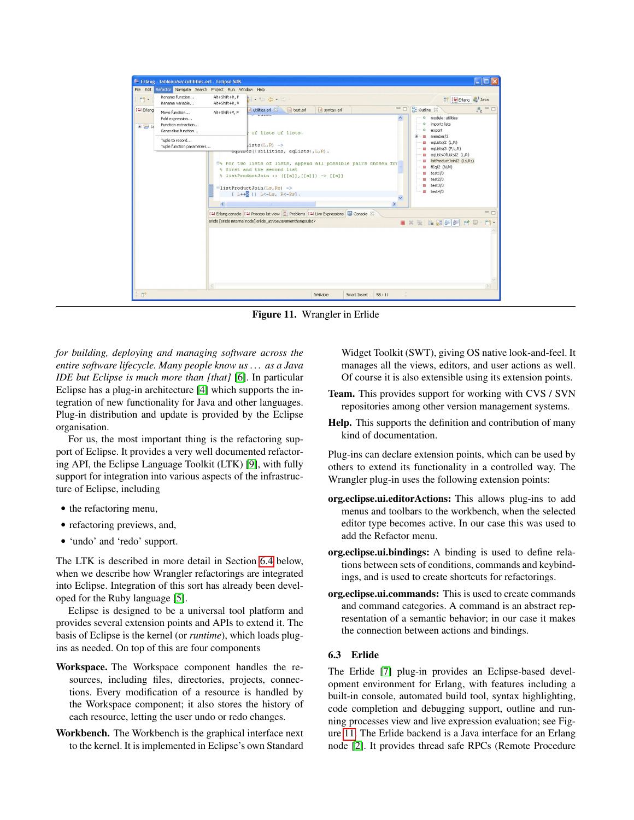<span id="page-10-1"></span>

Figure 11. Wrangler in Erlide

*for building, deploying and managing software across the entire software lifecycle. Many people know us . . . as a Java IDE but Eclipse is much more than [that]* [\[6\]](#page-11-15). In particular Eclipse has a plug-in architecture [\[4\]](#page-11-22) which supports the integration of new functionality for Java and other languages. Plug-in distribution and update is provided by the Eclipse organisation.

For us, the most important thing is the refactoring support of Eclipse. It provides a very well documented refactoring API, the Eclipse Language Toolkit (LTK) [\[9\]](#page-11-23), with fully support for integration into various aspects of the infrastructure of Eclipse, including

- the refactoring menu,
- refactoring previews, and,
- 'undo' and 'redo' support.

The LTK is described in more detail in Section [6.4](#page-10-1) below, when we describe how Wrangler refactorings are integrated into Eclipse. Integration of this sort has already been developed for the Ruby language [\[5\]](#page-11-24).

Eclipse is designed to be a universal tool platform and provides several extension points and APIs to extend it. The basis of Eclipse is the kernel (or *runtime*), which loads plugins as needed. On top of this are four components

- Workspace. The Workspace component handles the resources, including files, directories, projects, connections. Every modification of a resource is handled by the Workspace component; it also stores the history of each resource, letting the user undo or redo changes.
- Workbench. The Workbench is the graphical interface next to the kernel. It is implemented in Eclipse's own Standard

Widget Toolkit (SWT), giving OS native look-and-feel. It manages all the views, editors, and user actions as well. Of course it is also extensible using its extension points.

- Team. This provides support for working with CVS / SVN repositories among other version management systems.
- Help. This supports the definition and contribution of many kind of documentation.

Plug-ins can declare extension points, which can be used by others to extend its functionality in a controlled way. The Wrangler plug-in uses the following extension points:

- org.eclipse.ui.editorActions: This allows plug-ins to add menus and toolbars to the workbench, when the selected editor type becomes active. In our case this was used to add the Refactor menu.
- org.eclipse.ui.bindings: A binding is used to define relations between sets of conditions, commands and keybindings, and is used to create shortcuts for refactorings.
- org.eclipse.ui.commands: This is used to create commands and command categories. A command is an abstract representation of a semantic behavior; in our case it makes the connection between actions and bindings.

#### 6.3 Erlide

<span id="page-10-2"></span><span id="page-10-0"></span>The Erlide [\[7\]](#page-11-25) plug-in provides an Eclipse-based development environment for Erlang, with features including a built-in console, automated build tool, syntax highlighting, code completion and debugging support, outline and running processes view and live expression evaluation; see Figure [11.](#page-9-0) The Erlide backend is a Java interface for an Erlang node [\[2\]](#page-11-26). It provides thread safe RPCs (Remote Procedure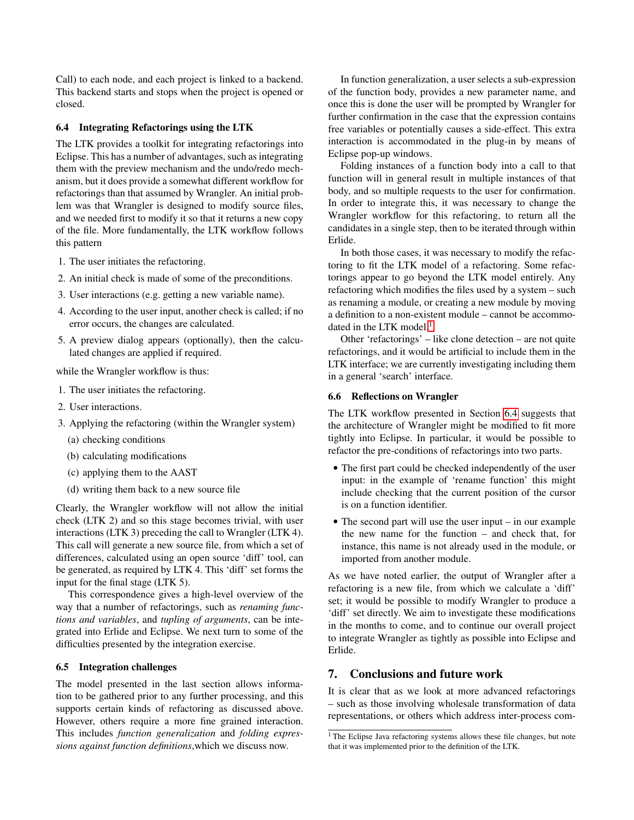Call) to each node, and each project is linked to a backend. This backend starts and stops when the project is opened or closed.

#### 6.4 Integrating Refactorings using the LTK

The LTK provides a toolkit for integrating refactorings into Eclipse. This has a number of advantages, such as integrating them with the preview mechanism and the undo/redo mechanism, but it does provide a somewhat different workflow for refactorings than that assumed by Wrangler. An initial problem was that Wrangler is designed to modify source files, and we needed first to modify it so that it returns a new copy of the file. More fundamentally, the LTK workflow follows this pattern

- 1. The user initiates the refactoring.
- 2. An initial check is made of some of the preconditions.
- 3. User interactions (e.g. getting a new variable name).
- 4. According to the user input, another check is called; if no error occurs, the changes are calculated.
- 5. A preview dialog appears (optionally), then the calculated changes are applied if required.

while the Wrangler workflow is thus:

- 1. The user initiates the refactoring.
- 2. User interactions.
- 3. Applying the refactoring (within the Wrangler system)
	- (a) checking conditions
	- (b) calculating modifications
	- (c) applying them to the AAST
	- (d) writing them back to a new source file

<span id="page-11-26"></span>Clearly, the Wrangler workflow will not allow the initial check (LTK 2) and so this stage becomes trivial, with user interactions (LTK 3) preceding the call to Wrangler (LTK 4). This call will generate a new source file, from which a set of differences, calculated using an open source 'diff' tool, can be generated, as required by LTK 4. This 'diff' set forms the input for the final stage (LTK 5).

<span id="page-11-24"></span><span id="page-11-22"></span><span id="page-11-5"></span>This correspondence gives a high-level overview of the way that a number of refactorings, such as *renaming functions and variables*, and *tupling of arguments*, can be integrated into Erlide and Eclipse. We next turn to some of the difficulties presented by the integration exercise.

#### <span id="page-11-25"></span><span id="page-11-15"></span>6.5 Integration challenges

<span id="page-11-23"></span><span id="page-11-16"></span><span id="page-11-0"></span>The model presented in the last section allows information to be gathered prior to any further processing, and this supports certain kinds of refactoring as discussed above. However, others require a more fine grained interaction. This includes *function generalization* and *folding expressions against function definitions*,which we discuss now.

<span id="page-11-21"></span>In function generalization, a user selects a sub-expression of the function body, provides a new parameter name, and once this is done the user will be prompted by Wrangler for further confirmation in the case that the expression contains free variables or potentially causes a side-effect. This extra interaction is accommodated in the plug-in by means of Eclipse pop-up windows.

<span id="page-11-4"></span><span id="page-11-3"></span><span id="page-11-2"></span>Folding instances of a function body into a call to that function will in general result in multiple instances of that body, and so multiple requests to the user for confirmation. In order to integrate this, it was necessary to change the Wrangler workflow for this refactoring, to return all the candidates in a single step, then to be iterated through within Erlide.

<span id="page-11-12"></span><span id="page-11-9"></span>In both those cases, it was necessary to modify the refactoring to fit the LTK model of a refactoring. Some refactorings appear to go beyond the LTK model entirely. Any refactoring which modifies the files used by a system – such as renaming a module, or creating a new module by moving a definition to a non-existent module – cannot be accommodated in the LTK model. $<sup>1</sup>$  $<sup>1</sup>$  $<sup>1</sup>$ </sup>

<span id="page-11-10"></span><span id="page-11-8"></span>Other 'refactorings' – like clone detection – are not quite refactorings, and it would be artificial to include them in the LTK interface; we are currently investigating including them in a general 'search' interface.

#### <span id="page-11-11"></span>6.6 Reflections on Wrangler

<span id="page-11-17"></span>The LTK workflow presented in Section [6.4](#page-10-1) suggests that the architecture of Wrangler might be modified to fit more tightly into Eclipse. In particular, it would be possible to refactor the pre-conditions of refactorings into two parts.

- <span id="page-11-13"></span><span id="page-11-1"></span>• The first part could be checked independently of the user input: in the example of 'rename function' this might include checking that the current position of the cursor is on a function identifier.
- <span id="page-11-20"></span><span id="page-11-14"></span>• The second part will use the user input – in our example the new name for the function – and check that, for instance, this name is not already used in the module, or imported from another module.

<span id="page-11-18"></span>As we have noted earlier, the output of Wrangler after a refactoring is a new file, from which we calculate a 'diff' set; it would be possible to modify Wrangler to produce a 'diff' set directly. We aim to investigate these modifications in the months to come, and to continue our overall project to integrate Wrangler as tightly as possible into Eclipse and Erlide.

#### <span id="page-11-7"></span>7. Conclusions and future work

<span id="page-11-19"></span><span id="page-11-6"></span>It is clear that as we look at more advanced refactorings – such as those involving wholesale transformation of data representations, or others which address inter-process com-

<sup>&</sup>lt;sup>1</sup> The Eclipse Java refactoring systems allows these file changes, but note that it was implemented prior to the definition of the LTK.